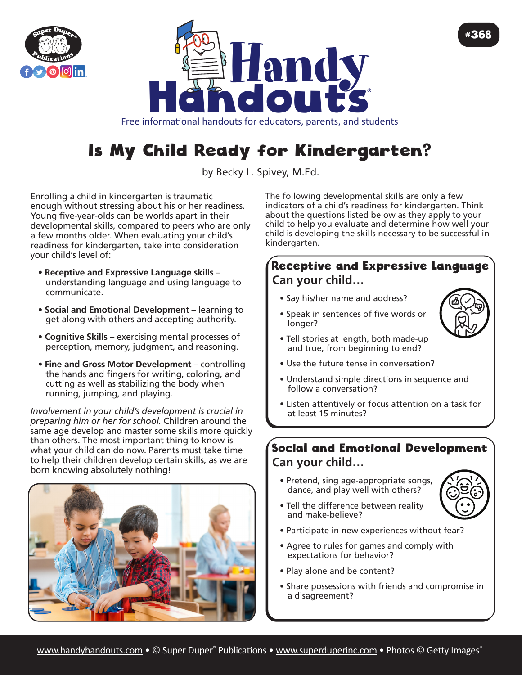



Free informational handouts for educators, parents, and students

# Is My Child Ready for Kindergarten?

by Becky L. Spivey, M.Ed.

Enrolling a child in kindergarten is traumatic enough without stressing about his or her readiness. Young five-year-olds can be worlds apart in their developmental skills, compared to peers who are only a few months older. When evaluating your child's readiness for kindergarten, take into consideration your child's level of:

- **Receptive and Expressive Language skills** understanding language and using language to communicate.
- **Social and Emotional Development** learning to get along with others and accepting authority.
- • **Cognitive Skills**  exercising mental processes of perception, memory, judgment, and reasoning.
- • **Fine and Gross Motor Development** controlling the hands and fingers for writing, coloring, and cutting as well as stabilizing the body when running, jumping, and playing.

*Involvement in your child's development is crucial in preparing him or her for school.* Children around the same age develop and master some skills more quickly than others. The most important thing to know is what your child can do now. Parents must take time to help their children develop certain skills, as we are born knowing absolutely nothing!



The following developmental skills are only a few indicators of a child's readiness for kindergarten. Think about the questions listed below as they apply to your child to help you evaluate and determine how well your child is developing the skills necessary to be successful in kindergarten.

#### Receptive and Expressive Language **Can your child…**

- Say his/her name and address?
- Speak in sentences of five words or longer?
- Tell stories at length, both made-up and true, from beginning to end?



#368

- Use the future tense in conversation?
- Understand simple directions in sequence and follow a conversation?
- Listen attentively or focus attention on a task for at least 15 minutes?

## Social and Emotional Development **Can your child…**

• Pretend, sing age-appropriate songs, dance, and play well with others?



- Tell the difference between reality and make-believe?
- Participate in new experiences without fear?
- Agree to rules for games and comply with expectations for behavior?
- Play alone and be content?
- Share possessions with friends and compromise in a disagreement?